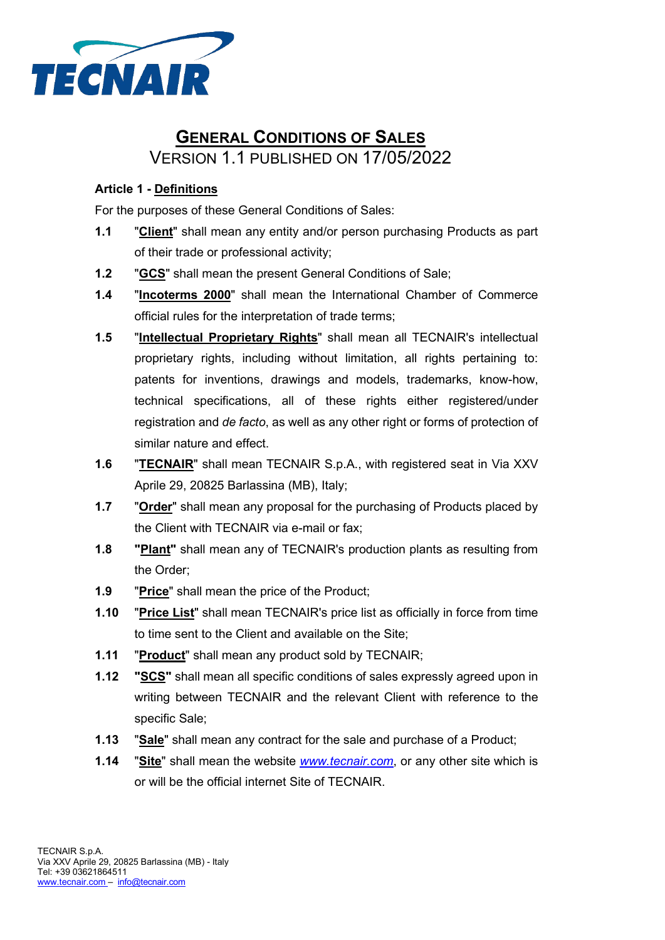

# **GENERAL CONDITIONS OF SALES** VERSION 1.1 PUBLISHED ON 17/05/2022

## **Article 1 - Definitions**

For the purposes of these General Conditions of Sales:

- **1.1** "**Client**" shall mean any entity and/or person purchasing Products as part of their trade or professional activity;
- **1.2** "**GCS**" shall mean the present General Conditions of Sale;
- **1.4** "**Incoterms 2000**" shall mean the International Chamber of Commerce official rules for the interpretation of trade terms;
- **1.5** "**Intellectual Proprietary Rights**" shall mean all TECNAIR's intellectual proprietary rights, including without limitation, all rights pertaining to: patents for inventions, drawings and models, trademarks, know-how, technical specifications, all of these rights either registered/under registration and *de facto*, as well as any other right or forms of protection of similar nature and effect.
- **1.6** "**TECNAIR**" shall mean TECNAIR S.p.A., with registered seat in Via XXV Aprile 29, 20825 Barlassina (MB), Italy;
- **1.7** "**Order**" shall mean any proposal for the purchasing of Products placed by the Client with TECNAIR via e-mail or fax;
- **1.8 "Plant"** shall mean any of TECNAIR's production plants as resulting from the Order;
- **1.9** "**Price**" shall mean the price of the Product;
- **1.10** "**Price List**" shall mean TECNAIR's price list as officially in force from time to time sent to the Client and available on the Site;
- **1.11** "**Product**" shall mean any product sold by TECNAIR;
- **1.12 "SCS"** shall mean all specific conditions of sales expressly agreed upon in writing between TECNAIR and the relevant Client with reference to the specific Sale;
- **1.13** "**Sale**" shall mean any contract for the sale and purchase of a Product;
- **1.14** "**Site**" shall mean the website *[www.tecnair.c](http://www.tecnair./)om*, or any other site which is or will be the official internet Site of TECNAIR.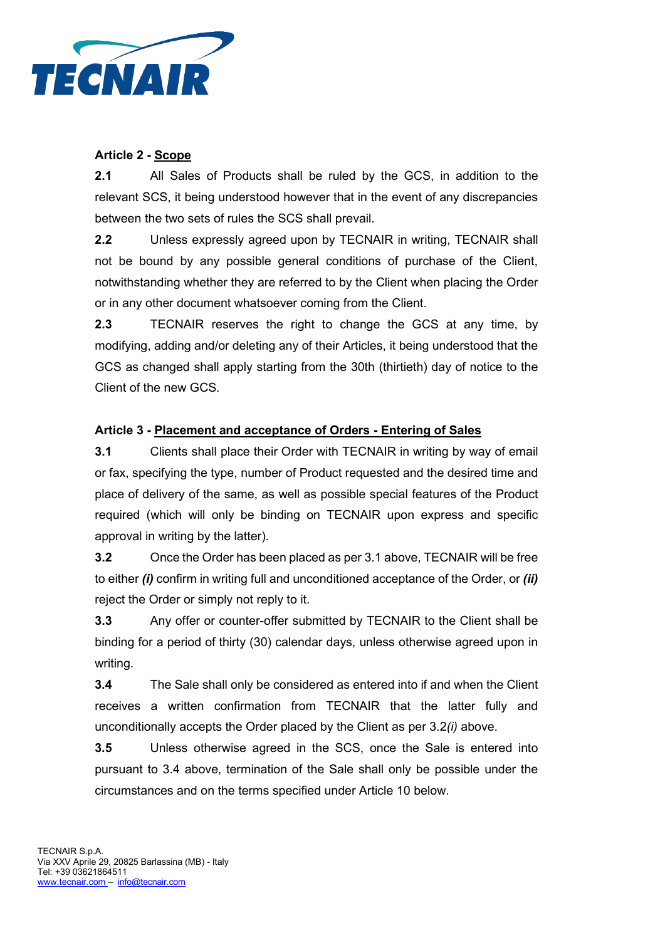

# **Article 2 - Scope**

**2.1** All Sales of Products shall be ruled by the GCS, in addition to the relevant SCS, it being understood however that in the event of any discrepancies between the two sets of rules the SCS shall prevail.

**2.2** Unless expressly agreed upon by TECNAIR in writing, TECNAIR shall not be bound by any possible general conditions of purchase of the Client, notwithstanding whether they are referred to by the Client when placing the Order or in any other document whatsoever coming from the Client.

**2.3** TECNAIR reserves the right to change the GCS at any time, by modifying, adding and/or deleting any of their Articles, it being understood that the GCS as changed shall apply starting from the 30th (thirtieth) day of notice to the Client of the new GCS.

# **Article 3 - Placement and acceptance of Orders - Entering of Sales**

**3.1** Clients shall place their Order with TECNAIR in writing by way of email or fax, specifying the type, number of Product requested and the desired time and place of delivery of the same, as well as possible special features of the Product required (which will only be binding on TECNAIR upon express and specific approval in writing by the latter).

**3.2** Once the Order has been placed as per 3.1 above, TECNAIR will be free to either *(i)* confirm in writing full and unconditioned acceptance of the Order, or *(ii)*  reject the Order or simply not reply to it.

**3.3** Any offer or counter-offer submitted by TECNAIR to the Client shall be binding for a period of thirty (30) calendar days, unless otherwise agreed upon in writing.

**3.4** The Sale shall only be considered as entered into if and when the Client receives a written confirmation from TECNAIR that the latter fully and unconditionally accepts the Order placed by the Client as per 3.2*(i)* above.

**3.5** Unless otherwise agreed in the SCS, once the Sale is entered into pursuant to 3.4 above, termination of the Sale shall only be possible under the circumstances and on the terms specified under Article 10 below.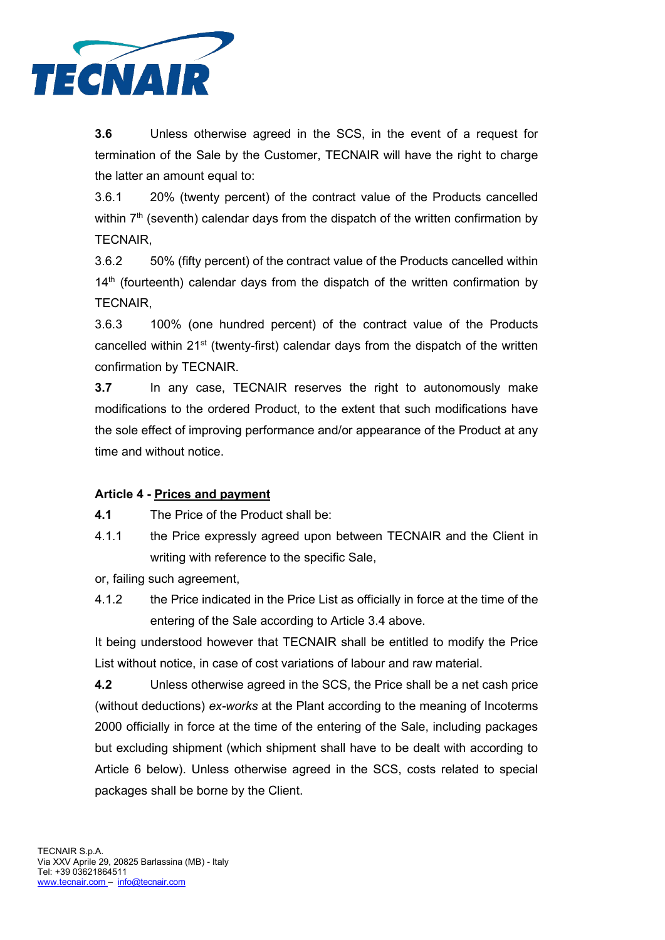

**3.6** Unless otherwise agreed in the SCS, in the event of a request for termination of the Sale by the Customer, TECNAIR will have the right to charge the latter an amount equal to:

3.6.1 20% (twenty percent) of the contract value of the Products cancelled within  $7<sup>th</sup>$  (seventh) calendar days from the dispatch of the written confirmation by TECNAIR,

3.6.2 50% (fifty percent) of the contract value of the Products cancelled within  $14<sup>th</sup>$  (fourteenth) calendar days from the dispatch of the written confirmation by TECNAIR,

3.6.3 100% (one hundred percent) of the contract value of the Products cancelled within 21<sup>st</sup> (twenty-first) calendar days from the dispatch of the written confirmation by TECNAIR.

**3.7** In any case, TECNAIR reserves the right to autonomously make modifications to the ordered Product, to the extent that such modifications have the sole effect of improving performance and/or appearance of the Product at any time and without notice.

# **Article 4 - Prices and payment**

**4.1** The Price of the Product shall be:

4.1.1 the Price expressly agreed upon between TECNAIR and the Client in writing with reference to the specific Sale,

or, failing such agreement,

4.1.2 the Price indicated in the Price List as officially in force at the time of the entering of the Sale according to Article 3.4 above.

It being understood however that TECNAIR shall be entitled to modify the Price List without notice, in case of cost variations of labour and raw material.

**4.2** Unless otherwise agreed in the SCS, the Price shall be a net cash price (without deductions) *ex-works* at the Plant according to the meaning of Incoterms 2000 officially in force at the time of the entering of the Sale, including packages but excluding shipment (which shipment shall have to be dealt with according to Article 6 below). Unless otherwise agreed in the SCS, costs related to special packages shall be borne by the Client.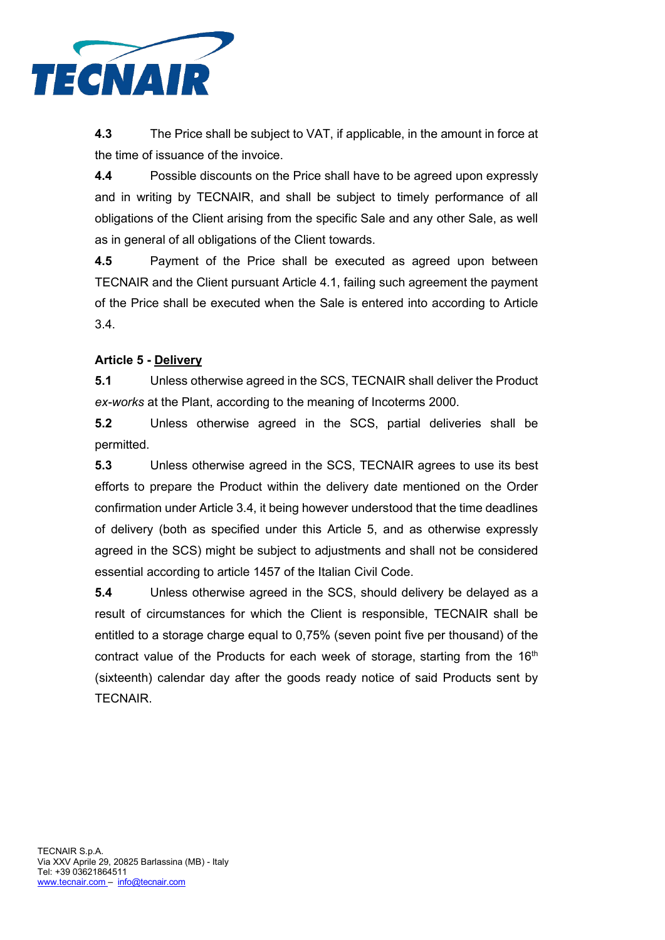

**4.3** The Price shall be subject to VAT, if applicable, in the amount in force at the time of issuance of the invoice.

**4.4** Possible discounts on the Price shall have to be agreed upon expressly and in writing by TECNAIR, and shall be subject to timely performance of all obligations of the Client arising from the specific Sale and any other Sale, as well as in general of all obligations of the Client towards.

**4.5** Payment of the Price shall be executed as agreed upon between TECNAIR and the Client pursuant Article 4.1, failing such agreement the payment of the Price shall be executed when the Sale is entered into according to Article 3.4.

# **Article 5 - Delivery**

**5.1** Unless otherwise agreed in the SCS, TECNAIR shall deliver the Product *ex-works* at the Plant, according to the meaning of Incoterms 2000.

**5.2** Unless otherwise agreed in the SCS, partial deliveries shall be permitted.

**5.3** Unless otherwise agreed in the SCS, TECNAIR agrees to use its best efforts to prepare the Product within the delivery date mentioned on the Order confirmation under Article 3.4, it being however understood that the time deadlines of delivery (both as specified under this Article 5, and as otherwise expressly agreed in the SCS) might be subject to adjustments and shall not be considered essential according to article 1457 of the Italian Civil Code.

**5.4** Unless otherwise agreed in the SCS, should delivery be delayed as a result of circumstances for which the Client is responsible, TECNAIR shall be entitled to a storage charge equal to 0,75% (seven point five per thousand) of the contract value of the Products for each week of storage, starting from the  $16<sup>th</sup>$ (sixteenth) calendar day after the goods ready notice of said Products sent by TECNAIR.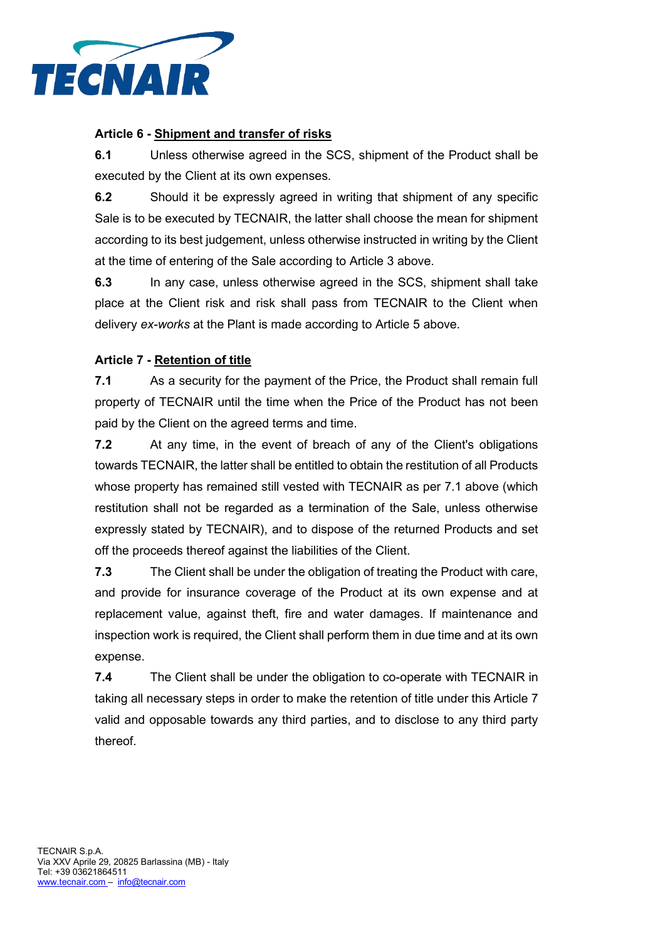

#### **Article 6 - Shipment and transfer of risks**

**6.1** Unless otherwise agreed in the SCS, shipment of the Product shall be executed by the Client at its own expenses.

**6.2** Should it be expressly agreed in writing that shipment of any specific Sale is to be executed by TECNAIR, the latter shall choose the mean for shipment according to its best judgement, unless otherwise instructed in writing by the Client at the time of entering of the Sale according to Article 3 above.

**6.3** In any case, unless otherwise agreed in the SCS, shipment shall take place at the Client risk and risk shall pass from TECNAIR to the Client when delivery *ex-works* at the Plant is made according to Article 5 above.

#### **Article 7 - Retention of title**

**7.1** As a security for the payment of the Price, the Product shall remain full property of TECNAIR until the time when the Price of the Product has not been paid by the Client on the agreed terms and time.

**7.2** At any time, in the event of breach of any of the Client's obligations towards TECNAIR, the latter shall be entitled to obtain the restitution of all Products whose property has remained still vested with TECNAIR as per 7.1 above (which restitution shall not be regarded as a termination of the Sale, unless otherwise expressly stated by TECNAIR), and to dispose of the returned Products and set off the proceeds thereof against the liabilities of the Client.

**7.3** The Client shall be under the obligation of treating the Product with care, and provide for insurance coverage of the Product at its own expense and at replacement value, against theft, fire and water damages. If maintenance and inspection work is required, the Client shall perform them in due time and at its own expense.

**7.4** The Client shall be under the obligation to co-operate with TECNAIR in taking all necessary steps in order to make the retention of title under this Article 7 valid and opposable towards any third parties, and to disclose to any third party thereof.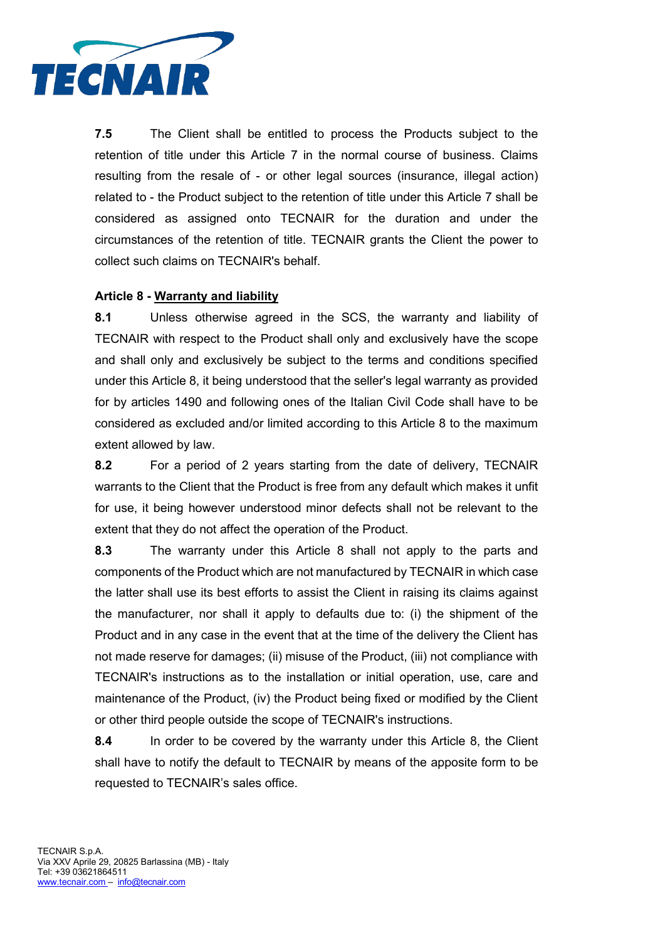

**7.5** The Client shall be entitled to process the Products subject to the retention of title under this Article 7 in the normal course of business. Claims resulting from the resale of - or other legal sources (insurance, illegal action) related to - the Product subject to the retention of title under this Article 7 shall be considered as assigned onto TECNAIR for the duration and under the circumstances of the retention of title. TECNAIR grants the Client the power to collect such claims on TECNAIR's behalf.

#### **Article 8 - Warranty and liability**

**8.1** Unless otherwise agreed in the SCS, the warranty and liability of TECNAIR with respect to the Product shall only and exclusively have the scope and shall only and exclusively be subject to the terms and conditions specified under this Article 8, it being understood that the seller's legal warranty as provided for by articles 1490 and following ones of the Italian Civil Code shall have to be considered as excluded and/or limited according to this Article 8 to the maximum extent allowed by law.

**8.2** For a period of 2 years starting from the date of delivery, TECNAIR warrants to the Client that the Product is free from any default which makes it unfit for use, it being however understood minor defects shall not be relevant to the extent that they do not affect the operation of the Product.

**8.3** The warranty under this Article 8 shall not apply to the parts and components of the Product which are not manufactured by TECNAIR in which case the latter shall use its best efforts to assist the Client in raising its claims against the manufacturer, nor shall it apply to defaults due to: (i) the shipment of the Product and in any case in the event that at the time of the delivery the Client has not made reserve for damages; (ii) misuse of the Product, (iii) not compliance with TECNAIR's instructions as to the installation or initial operation, use, care and maintenance of the Product, (iv) the Product being fixed or modified by the Client or other third people outside the scope of TECNAIR's instructions.

**8.4** In order to be covered by the warranty under this Article 8, the Client shall have to notify the default to TECNAIR by means of the apposite form to be requested to TECNAIR's sales office.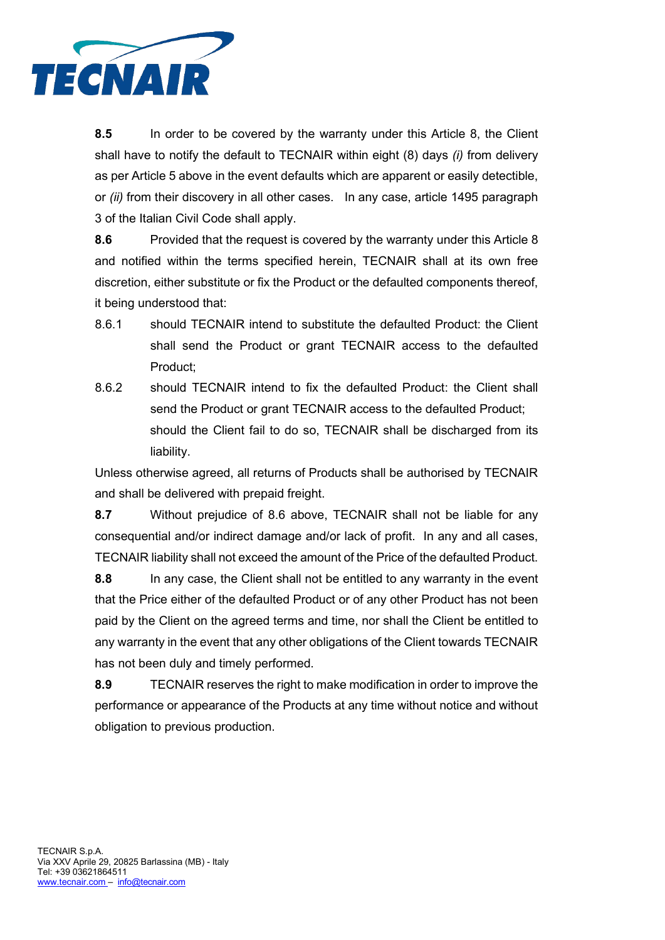

**8.5** In order to be covered by the warranty under this Article 8, the Client shall have to notify the default to TECNAIR within eight (8) days *(i)* from delivery as per Article 5 above in the event defaults which are apparent or easily detectible, or *(ii)* from their discovery in all other cases. In any case, article 1495 paragraph 3 of the Italian Civil Code shall apply.

**8.6** Provided that the request is covered by the warranty under this Article 8 and notified within the terms specified herein, TECNAIR shall at its own free discretion, either substitute or fix the Product or the defaulted components thereof, it being understood that:

- 8.6.1 should TECNAIR intend to substitute the defaulted Product: the Client shall send the Product or grant TECNAIR access to the defaulted Product;
- 8.6.2 should TECNAIR intend to fix the defaulted Product: the Client shall send the Product or grant TECNAIR access to the defaulted Product; should the Client fail to do so, TECNAIR shall be discharged from its liability.

Unless otherwise agreed, all returns of Products shall be authorised by TECNAIR and shall be delivered with prepaid freight.

**8.7** Without prejudice of 8.6 above, TECNAIR shall not be liable for any consequential and/or indirect damage and/or lack of profit. In any and all cases, TECNAIR liability shall not exceed the amount of the Price of the defaulted Product.

**8.8** In any case, the Client shall not be entitled to any warranty in the event that the Price either of the defaulted Product or of any other Product has not been paid by the Client on the agreed terms and time, nor shall the Client be entitled to any warranty in the event that any other obligations of the Client towards TECNAIR has not been duly and timely performed.

**8.9** TECNAIR reserves the right to make modification in order to improve the performance or appearance of the Products at any time without notice and without obligation to previous production.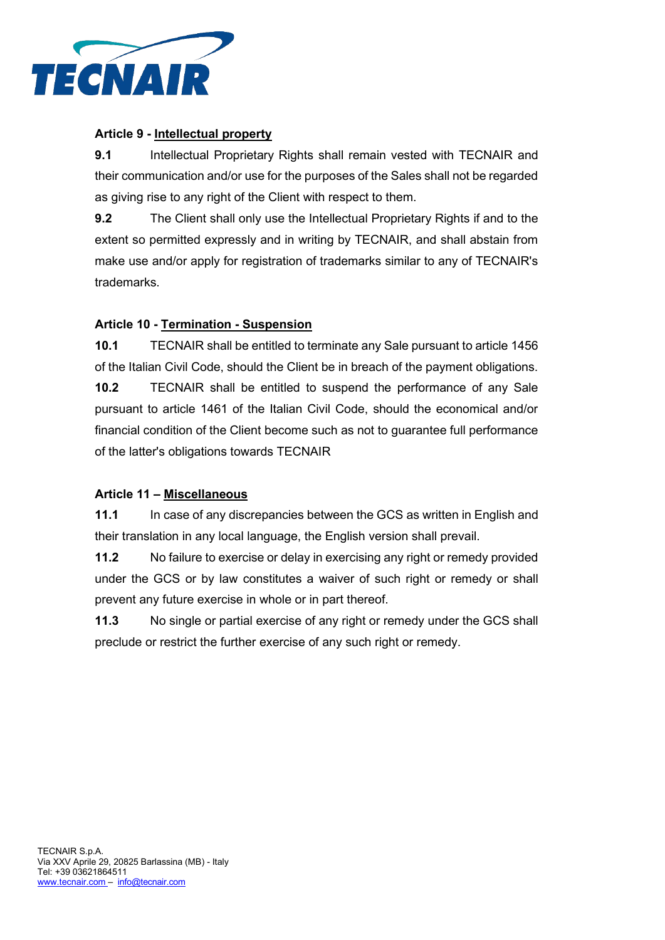

#### **Article 9 - Intellectual property**

**9.1** Intellectual Proprietary Rights shall remain vested with TECNAIR and their communication and/or use for the purposes of the Sales shall not be regarded as giving rise to any right of the Client with respect to them.

**9.2** The Client shall only use the Intellectual Proprietary Rights if and to the extent so permitted expressly and in writing by TECNAIR, and shall abstain from make use and/or apply for registration of trademarks similar to any of TECNAIR's trademarks.

## **Article 10 - Termination - Suspension**

**10.1** TECNAIR shall be entitled to terminate any Sale pursuant to article 1456 of the Italian Civil Code, should the Client be in breach of the payment obligations.

**10.2** TECNAIR shall be entitled to suspend the performance of any Sale pursuant to article 1461 of the Italian Civil Code, should the economical and/or financial condition of the Client become such as not to guarantee full performance of the latter's obligations towards TECNAIR

## **Article 11 – Miscellaneous**

**11.1** In case of any discrepancies between the GCS as written in English and their translation in any local language, the English version shall prevail.

**11.2** No failure to exercise or delay in exercising any right or remedy provided under the GCS or by law constitutes a waiver of such right or remedy or shall prevent any future exercise in whole or in part thereof.

**11.3** No single or partial exercise of any right or remedy under the GCS shall preclude or restrict the further exercise of any such right or remedy.